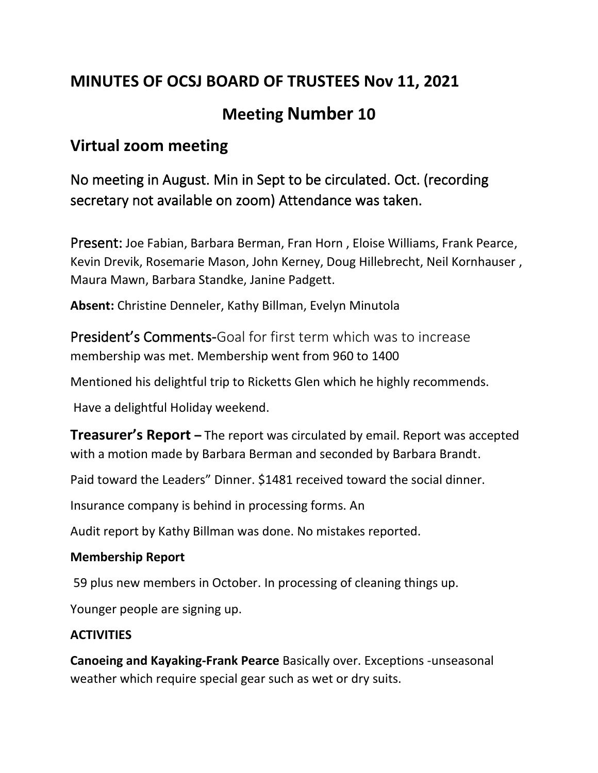# **MINUTES OF OCSJ BOARD OF TRUSTEES Nov 11, 2021**

# **Meeting Number 10**

## **Virtual zoom meeting**

No meeting in August. Min in Sept to be circulated. Oct. (recording secretary not available on zoom) Attendance was taken.

Present: Joe Fabian, Barbara Berman, Fran Horn , Eloise Williams, Frank Pearce, Kevin Drevik, Rosemarie Mason, John Kerney, Doug Hillebrecht, Neil Kornhauser , Maura Mawn, Barbara Standke, Janine Padgett.

**Absent:** Christine Denneler, Kathy Billman, Evelyn Minutola

President's Comments-Goal for first term which was to increase membership was met. Membership went from 960 to 1400

Mentioned his delightful trip to Ricketts Glen which he highly recommends.

Have a delightful Holiday weekend.

**Treasurer's Report –** The report was circulated by email. Report was accepted with a motion made by Barbara Berman and seconded by Barbara Brandt.

Paid toward the Leaders" Dinner. \$1481 received toward the social dinner.

Insurance company is behind in processing forms. An

Audit report by Kathy Billman was done. No mistakes reported.

#### **Membership Report**

59 plus new members in October. In processing of cleaning things up.

Younger people are signing up.

#### **ACTIVITIES**

**Canoeing and Kayaking-Frank Pearce** Basically over. Exceptions -unseasonal weather which require special gear such as wet or dry suits.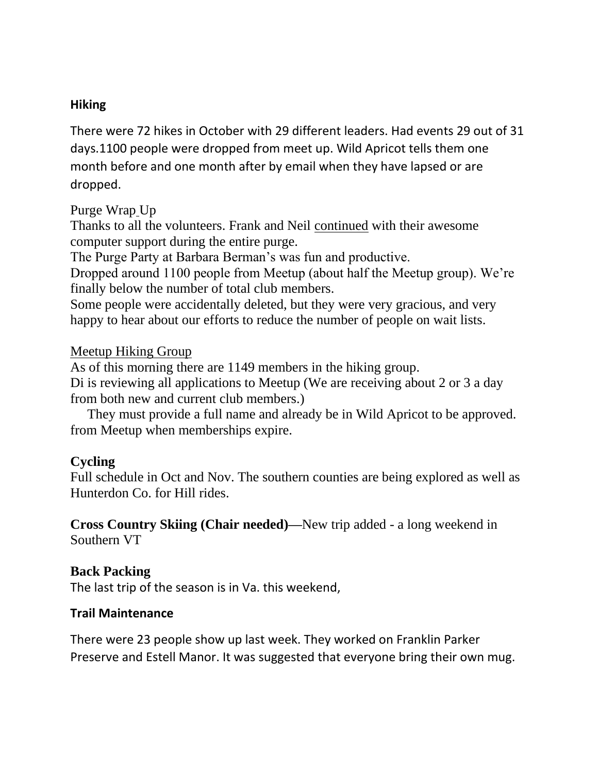#### **Hiking**

There were 72 hikes in October with 29 different leaders. Had events 29 out of 31 days.1100 people were dropped from meet up. Wild Apricot tells them one month before and one month after by email when they have lapsed or are dropped.

#### Purge Wrap Up

Thanks to all the volunteers. Frank and Neil continued with their awesome computer support during the entire purge.

The Purge Party at Barbara Berman's was fun and productive.

Dropped around 1100 people from Meetup (about half the Meetup group). We're finally below the number of total club members.

Some people were accidentally deleted, but they were very gracious, and very happy to hear about our efforts to reduce the number of people on wait lists.

#### Meetup Hiking Group

As of this morning there are 1149 members in the hiking group. Di is reviewing all applications to Meetup (We are receiving about 2 or 3 a day from both new and current club members.)

 They must provide a full name and already be in Wild Apricot to be approved. from Meetup when memberships expire.

#### **Cycling**

Full schedule in Oct and Nov. The southern counties are being explored as well as Hunterdon Co. for Hill rides.

**Cross Country Skiing (Chair needed)—**New trip added - a long weekend in Southern VT

#### **Back Packing**

The last trip of the season is in Va. this weekend,

#### **Trail Maintenance**

There were 23 people show up last week. They worked on Franklin Parker Preserve and Estell Manor. It was suggested that everyone bring their own mug.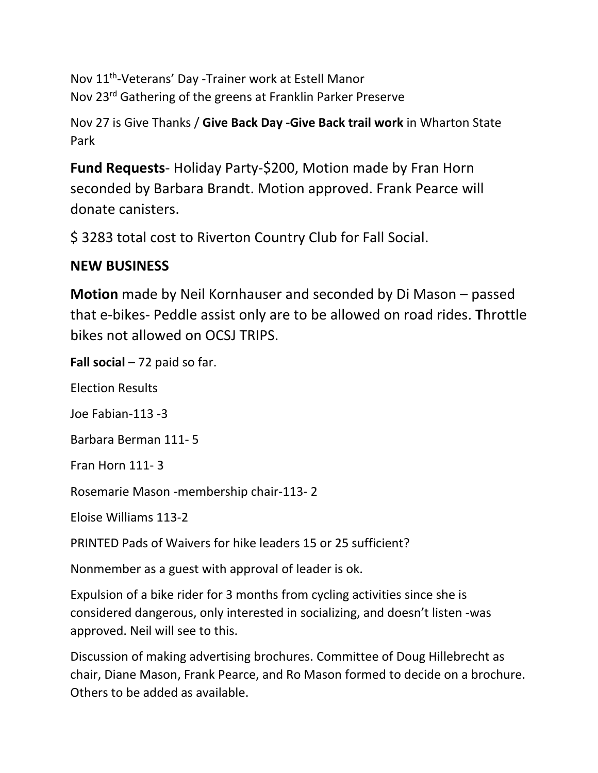Nov 11<sup>th</sup>-Veterans' Day -Trainer work at Estell Manor Nov 23rd Gathering of the greens at Franklin Parker Preserve

Nov 27 is Give Thanks / **Give Back Day -Give Back trail work** in Wharton State Park

**Fund Requests**- Holiday Party-\$200, Motion made by Fran Horn seconded by Barbara Brandt. Motion approved. Frank Pearce will donate canisters.

\$ 3283 total cost to Riverton Country Club for Fall Social.

### **NEW BUSINESS**

**Motion** made by Neil Kornhauser and seconded by Di Mason – passed that e-bikes- Peddle assist only are to be allowed on road rides. **T**hrottle bikes not allowed on OCSJ TRIPS.

**Fall social** – 72 paid so far.

Election Results

Joe Fabian-113 -3

Barbara Berman 111- 5

Fran Horn 111- 3

Rosemarie Mason -membership chair-113- 2

Eloise Williams 113-2

PRINTED Pads of Waivers for hike leaders 15 or 25 sufficient?

Nonmember as a guest with approval of leader is ok.

Expulsion of a bike rider for 3 months from cycling activities since she is considered dangerous, only interested in socializing, and doesn't listen -was approved. Neil will see to this.

Discussion of making advertising brochures. Committee of Doug Hillebrecht as chair, Diane Mason, Frank Pearce, and Ro Mason formed to decide on a brochure. Others to be added as available.